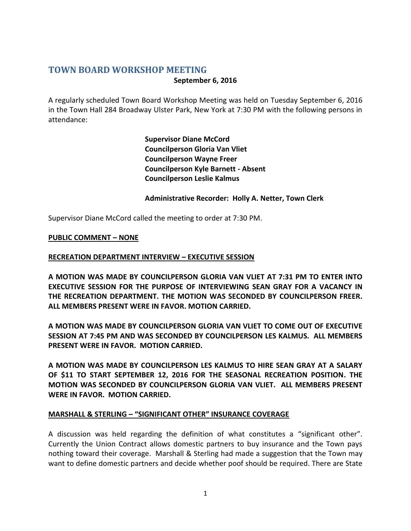### **TOWN BOARD WORKSHOP MEETING September 6, 2016**

A regularly scheduled Town Board Workshop Meeting was held on Tuesday September 6, 2016 in the Town Hall 284 Broadway Ulster Park, New York at 7:30 PM with the following persons in attendance:

> **Supervisor Diane McCord Councilperson Gloria Van Vliet Councilperson Wayne Freer Councilperson Kyle Barnett - Absent Councilperson Leslie Kalmus**

#### **Administrative Recorder: Holly A. Netter, Town Clerk**

Supervisor Diane McCord called the meeting to order at 7:30 PM.

#### **PUBLIC COMMENT – NONE**

#### **RECREATION DEPARTMENT INTERVIEW – EXECUTIVE SESSION**

**A MOTION WAS MADE BY COUNCILPERSON GLORIA VAN VLIET AT 7:31 PM TO ENTER INTO EXECUTIVE SESSION FOR THE PURPOSE OF INTERVIEWING SEAN GRAY FOR A VACANCY IN THE RECREATION DEPARTMENT. THE MOTION WAS SECONDED BY COUNCILPERSON FREER. ALL MEMBERS PRESENT WERE IN FAVOR. MOTION CARRIED.**

**A MOTION WAS MADE BY COUNCILPERSON GLORIA VAN VLIET TO COME OUT OF EXECUTIVE SESSION AT 7:45 PM AND WAS SECONDED BY COUNCILPERSON LES KALMUS. ALL MEMBERS PRESENT WERE IN FAVOR. MOTION CARRIED.**

**A MOTION WAS MADE BY COUNCILPERSON LES KALMUS TO HIRE SEAN GRAY AT A SALARY OF \$11 TO START SEPTEMBER 12, 2016 FOR THE SEASONAL RECREATION POSITION. THE MOTION WAS SECONDED BY COUNCILPERSON GLORIA VAN VLIET. ALL MEMBERS PRESENT WERE IN FAVOR. MOTION CARRIED.**

#### **MARSHALL & STERLING – "SIGNIFICANT OTHER" INSURANCE COVERAGE**

A discussion was held regarding the definition of what constitutes a "significant other". Currently the Union Contract allows domestic partners to buy insurance and the Town pays nothing toward their coverage. Marshall & Sterling had made a suggestion that the Town may want to define domestic partners and decide whether poof should be required. There are State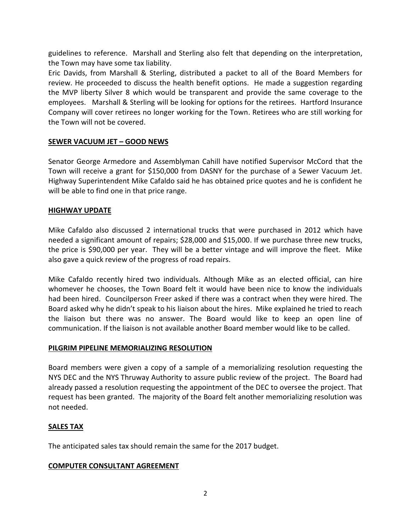guidelines to reference. Marshall and Sterling also felt that depending on the interpretation, the Town may have some tax liability.

Eric Davids, from Marshall & Sterling, distributed a packet to all of the Board Members for review. He proceeded to discuss the health benefit options. He made a suggestion regarding the MVP liberty Silver 8 which would be transparent and provide the same coverage to the employees. Marshall & Sterling will be looking for options for the retirees. Hartford Insurance Company will cover retirees no longer working for the Town. Retirees who are still working for the Town will not be covered.

## **SEWER VACUUM JET – GOOD NEWS**

Senator George Armedore and Assemblyman Cahill have notified Supervisor McCord that the Town will receive a grant for \$150,000 from DASNY for the purchase of a Sewer Vacuum Jet. Highway Superintendent Mike Cafaldo said he has obtained price quotes and he is confident he will be able to find one in that price range.

#### **HIGHWAY UPDATE**

Mike Cafaldo also discussed 2 international trucks that were purchased in 2012 which have needed a significant amount of repairs; \$28,000 and \$15,000. If we purchase three new trucks, the price is \$90,000 per year. They will be a better vintage and will improve the fleet. Mike also gave a quick review of the progress of road repairs.

Mike Cafaldo recently hired two individuals. Although Mike as an elected official, can hire whomever he chooses, the Town Board felt it would have been nice to know the individuals had been hired. Councilperson Freer asked if there was a contract when they were hired. The Board asked why he didn't speak to his liaison about the hires. Mike explained he tried to reach the liaison but there was no answer. The Board would like to keep an open line of communication. If the liaison is not available another Board member would like to be called.

#### **PILGRIM PIPELINE MEMORIALIZING RESOLUTION**

Board members were given a copy of a sample of a memorializing resolution requesting the NYS DEC and the NYS Thruway Authority to assure public review of the project. The Board had already passed a resolution requesting the appointment of the DEC to oversee the project. That request has been granted. The majority of the Board felt another memorializing resolution was not needed.

## **SALES TAX**

The anticipated sales tax should remain the same for the 2017 budget.

#### **COMPUTER CONSULTANT AGREEMENT**